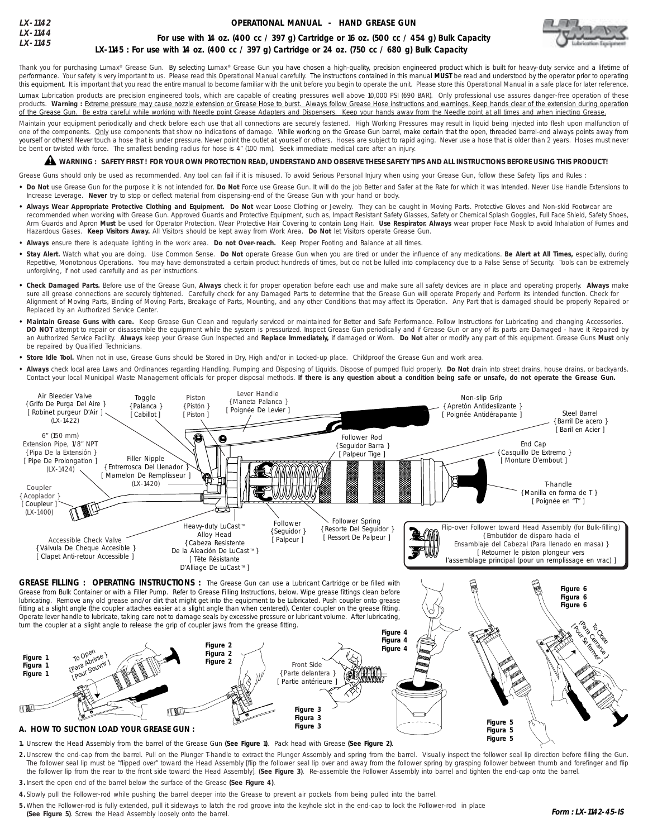| $LX-1142$            | OPERATIONAL MANUAL - HAND GREASE GUN                                                              |
|----------------------|---------------------------------------------------------------------------------------------------|
| LX-1144<br>$LX-1145$ | For use with 14 oz. (400 cc / 397 g) Cartridge or 16 oz. (500 cc / 454 g) Bulk Capacity           |
|                      | LX-1145 : For use with 14 oz. (400 cc / 397 g) Cartridge or 24 oz. (750 cc / 680 g) Bulk Capacity |



Thank you for purchasing Lumax® Grease Gun. By selecting Lumax® Grease Gun you have chosen a high-quality, precision engineered product which is built for heavy-duty service and a lifetime of performance. Your safety is very important to us. Please read this Operational Manual carefully. The instructions contained in this manual **MUST** be read and understood by the operator prior to operating this equipment. It is important that you read the entire manual to become familiar with the unit before you begin to operate the unit. Please store this Operational Manual in a safe place for later reference.

Lumax Lubrication products are precision engineered tools, which are capable of creating pressures well above 10,000 PSI (690 BAR). Only professional use assures danger-free operation of these products. Warning : Extreme pressure may cause nozzle extension or Grease Hose to burst. Always follow Grease Hose instructions and warnings. Keep hands clear of the extension during operation<br>of the Grease Gun. Be extra c Be extra careful while working with Needle point Grease Adapters and Dispensers. Keep your hands away from the Needle point at all times and when injecting Grease.

Maintain your equipment periodically and check before each use that all connections are securely fastened. High Working Pressures may result in liquid being injected into flesh upon malfunction of one of the components. Only use components that show no indications of damage. While working on the Grease Gun barrel, make certain that the open, threaded barrel-end always points away from yourself or others! Never touch a hose that is under pressure. Never point the outlet at yourself or others. Hoses are subject to rapid aging. Never use a hose that is older than 2 years. Hoses must never be bent or twisted with force. The smallest bending radius for hose is 4" (100 mm). Seek immediate medical care after an injury.

# $\blacktriangle$  warning : safety first ! For your own protection read, understand and observe these safety tips and all instructions before using this product!

Grease Guns should only be used as recommended. Any tool can fail if it is misused. To avoid Serious Personal Injury when using your Grease Gun, follow these Safety Tips and Rules :

- Do Not use Grease Gun for the purpose it is not intended for. Do Not Force use Grease Gun. It will do the job Better and Safer at the Rate for which it was Intended. Never Use Handle Extensions to Increase Leverage. **Never** try to stop or deflect material from dispensing-end of the Grease Gun with your hand or body.
- . Always Wear Appropriate Protective Clothing and Equipment. Do Not wear Loose Clothing or Jewelry. They can be caught in Moving Parts. Protective Gloves and Non-skid Footwear are recommended when working with Grease Gun. Approved Guards and Protective Equipment, such as, Impact Resistant Safety Glasses, Safety or Chemical Splash Goggles, Full Face Shield, Safety Shoes, Arm Guards and Apron **Must** be used for Operator Protection. Wear Protective Hair Covering to contain Long Hair. **Use Respirator. Always** wear proper Face Mask to avoid Inhalation of Fumes and Hazardous Gases. **Keep Visitors Away.** All Visitors should be kept away from Work Area. **Do Not** let Visitors operate Grease Gun.
- **Always** ensure there is adequate lighting in the work area. **Do not Over-reach.** Keep Proper Footing and Balance at all times.
- **• Stay Alert.** Watch what you are doing. Use Common Sense. **Do Not** operate Grease Gun when you are tired or under the influence of any medications. **Be Alert at All Times,** especially, during Repetitive, Monotonous Operations. You may have demonstrated a certain product hundreds of times, but do not be lulled into complacency due to a False Sense of Security. Tools can be extremely unforgiving, if not used carefully and as per instructions.
- **• Check Damaged Parts.** Before use of the Grease Gun, **Always** check it for proper operation before each use and make sure all safety devices are in place and operating properly. **Always** make sure all grease connections are securely tightened. Carefully check for any Damaged Parts to determine that the Grease Gun will operate Properly and Perform its intended function. Check for Alignment of Moving Parts, Binding of Moving Parts, Breakage of Parts, Mounting, and any other Conditions that may affect its Operation. Any Part that is damaged should be properly Repaired or Replaced by an Authorized Service Center.
- Maintain Grease Guns with care. Keep Grease Gun Clean and regularly serviced or maintained for Better and Safe Performance. Follow Instructions for Lubricating and changing Accessories. DO NOT attempt to repair or disassemble the equipment while the system is pressurized. Inspect Grease Gun periodically and if Grease Gun or any of its parts are Damaged - have it Repaired by an Authorized Service Facility. **Always** keep your Grease Gun Inspected and **Replace Immediately,** if damaged or Worn. **Do Not** alter or modify any part of this equipment. Grease Guns **Must** only be repaired by Qualified Technicians.
- **• Store Idle Tool.** When not in use, Grease Guns should be Stored in Dry, High and/or in Locked-up place. Childproof the Grease Gun and work area.
- **Always** check local area Laws and Ordinances regarding Handling, Pumping and Disposing of Liquids. Dispose of pumped fluid properly. **Do Not** drain into street drains, house drains, or backyards. Contact your local Municipal Waste Management officials for proper disposal methods. **If there is any question about a condition being safe or unsafe, do not operate the Grease Gun.**



**GREASE FILLING : OPERATING INSTRUCTIONS :** The Grease Gun can use a Lubricant Cartridge or be filled with Grease from Bulk Container or with a Filler Pump. Refer to Grease Filling Instructions, below. Wipe grease fittings clean before lubricating. Remove any old grease and/or dirt that might get into the equipment to be Lubricated. Push coupler onto grease fitting at a slight angle (the coupler attaches easier at a slight angle than when centered). Center coupler on the grease fitting. Operate lever handle to lubricate, taking care not to damage seals by excessive pressure or lubricant volume. After lubricating, turn the coupler at a slight angle to release the grip of coupler jaws from the grease fitting.



- **1.** Unscrew the Head Assembly from the barrel of the Grease Gun **(See Figure 1)**. Pack head with Grease **(See Figure 2)**.
- **2 .** Unscrew the end-cap from the barrel. Pull on the Plunger T-handle to extract the Plunger Assembly and spring from the barrel. Visually inspect the follower seal lip direction before fiiling the Gun. The follower seal lip must be "flipped over" toward the Head Assembly [flip the follower seal lip over and away from the follower spring by grasping follower between thumb and forefinger and flip the follower lip from the rear to the front side toward the Head Assembly]. **(See Figure 3)**. Re-assemble the Follower Assembly into barrel and tighten the end-cap onto the barrel.
- **3.** Insert the open end of the barrel below the surface of the Grease **(See Figure 4)**.
- **4.** Slowly pull the Follower-rod while pushing the barrel deeper into the Grease to prevent air pockets from being pulled into the barrel.
- **5 .** When the Follower-rod is fully extended, pull it sideways to latch the rod groove into the keyhole slot in the end-cap to lock the Follower-rod in place **(See Figure 5)**. Screw the Head Assembly loosely onto the barrel.

**Figure 6 Figura 6 Figure 6**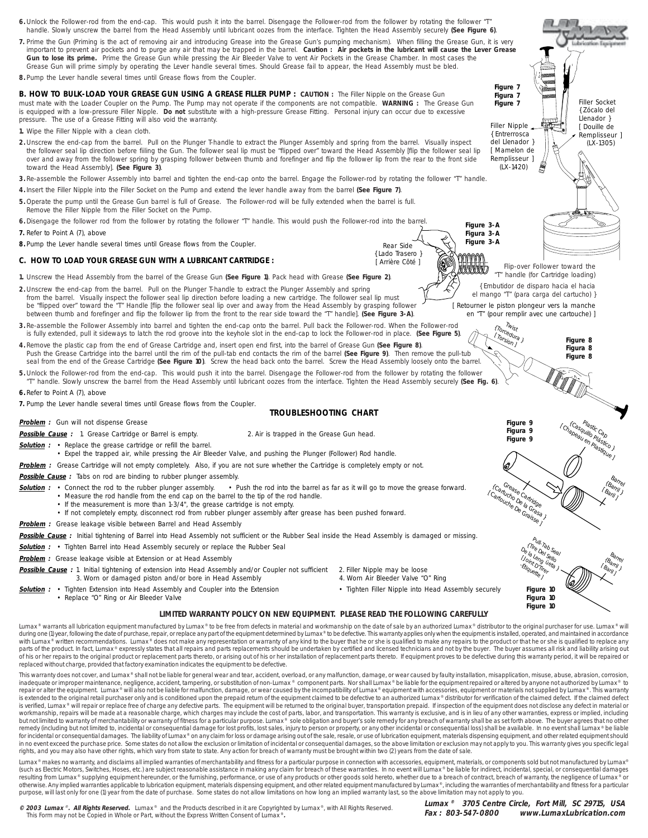- 6. Unlock the Follower-rod from the end-cap. This would push it into the barrel. Disengage the Follower-rod from the follower by rotating the follower "T" handle. Slowly unscrew the barrel from the Head Assembly until lubricant oozes from the interface. Tighten the Head Assembly securely **(See Figure 6)**.
- **7.** Prime the Gun (Priming is the act of removing air and introducing Grease into the Grease Gun's pumping mechanism). When filling the Grease Gun, it is very important to prevent air pockets and to purge any air that may be trapped in the barrel. **Caution : Air pockets in the lubricant will cause the Lever Grease Gun to lose its prime.** Prime the Grease Gun while pressing the Air Bleeder Valve to vent Air Pockets in the Grease Chamber. In most cases the Grease Gun will prime simply by operating the Lever handle several times. Should Grease fail to appear, the Head Assembly must be bled.
- **8.** Pump the Lever handle several times until Grease flows from the Coupler.

**B. HOW TO BULK-LOAD YOUR GREASE GUN USING A GREASE FILLER PUMP : CAUTION :** The Filler Nipple on the Grease Gun must mate with the Loader Coupler on the Pump. The Pump may not operate if the components are not compatible. **WARNING :** The Grease Gun is equipped with a low-pressure Filler Nipple. **Do not** substitute with a high-pressure Grease Fitting. Personal injury can occur due to excessive pressure. The use of a Grease Fitting will also void the warranty.

- **1.** Wipe the Filler Nipple with a clean cloth.
- **2 .** Unscrew the end-cap from the barrel. Pull on the Plunger T-handle to extract the Plunger Assembly and spring from the barrel. Visually inspect the follower seal lip direction before fiiling the Gun. The follower seal lip must be "flipped over" toward the Head Assembly [flip the follower seal lip over and away from the follower spring by grasping follower between thumb and forefinger and flip the follower lip from the rear to the front side toward the Head Assembly]. **(See Figure 3)**.
- **3.** Re-assemble the Follower Assembly into barrel and tighten the end-cap onto the barrel. Engage the Follower-rod by rotating the follower "T" handle.
- **4.** Insert the Filler Nipple into the Filler Socket on the Pump and extend the lever handle away from the barrel **(See Figure 7)**.
- **5 .** Operate the pump until the Grease Gun barrel is full of Grease. The Follower-rod will be fully extended when the barrel is full.
- Remove the Filler Nipple from the Filler Socket on the Pump.
- **6.** Disengage the follower rod from the follower by rotating the follower "T" handle. This would push the Follower-rod into the barrel. **7.** Refer to Point A (7), above
- 
- **8.** Pump the Lever handle several times until Grease flows from the Coupler.

# **C. HOW TO LOAD YOUR GREASE GUN WITH A LUBRICANT CARTRIDGE :**

**1.** Unscrew the Head Assembly from the barrel of the Grease Gun **(See Figure 1)**. Pack head with Grease **(See Figure 2)**.

**2 .** Unscrew the end-cap from the barrel. Pull on the Plunger T-handle to extract the Plunger Assembly and spring from the barrel. Visually inspect the follower seal lip direction before loading a new cartridge. The follower seal lip must<br>be "flipped over" toward the "T" Handle [flip the follower seal lip over and away from the Head A between thumb and forefinger and flip the follower lip from the front to the rear side toward the "T" handle]. **(See Figure 3-A)**.

- **3.** Re-assemble the Follower Assembly into barrel and tighten the end-cap onto the barrel. Pull back the Follower-rod. When the Follower-rod is fully extended, pull it sideways to latch the rod groove into the keyhole slot in the end-cap to lock the Follower-rod in place. **(See Figure 5)**.
- **4.** Remove the plastic cap from the end of Grease Cartridge and, insert open end first, into the barrel of Grease Gun **(See Figure 8)**. Push the Grease Cartridge into the barrel until the rim of the pull-tab end contacts the rim of the barrel **(See Figure 9)**. Then remove the pull-tub seal from the end of the Grease Cartridge **(See Figure 10)**. Screw the head back onto the barrel. Screw the Head Assembly loosely onto the barrel.
- **5 .** Unlock the Follower-rod from the end-cap. This would push it into the barrel. Disengage the Follower-rod from the follower by rotating the follower "T" handle. Slowly unscrew the barrel from the Head Assembly until lubricant oozes from the interface. Tighten the Head Assembly securely **(See Fig. 6)**.
- **6.** Refer to Point A (7), above
- **7.** Pump the Lever handle several times until Grease flows from the Coupler.

# **TROUBLESHOOTING CHART**

**Problem :** Gun will not dispense Grease

**Possible Cause** : 1. Grease Cartridge or Barrel is empty. 2. Air is trapped in the Grease Gun head.

**Solution :** • Replace the grease cartridge or refill the barrel.

• Expel the trapped air, while pressing the Air Bleeder Valve, and pushing the Plunger (Follower) Rod handle.

**Problem :** Grease Cartridge will not empty completely. Also, if you are not sure whether the Cartridge is completely empty or not.

Possible Cause : Tabs on rod are binding to rubber plunger assembly.

- Solution : Connect the rod to the rubber plunger assembly. Push the rod into the barrel as far as it will go to move the grease forward. • Measure the rod handle from the end cap on the barrel to the tip of the rod handle.
	- If the measurement is more than 1-3/4", the grease cartridge is not empty.
		- If not completely empty, disconnect rod from rubber plunger assembly after grease has been pushed forward.

**Problem :** Grease leakage visible between Barrel and Head Assembly

- Possible Cause : Initial tightening of Barrel into Head Assembly not sufficient or the Rubber Seal inside the Head Assembly is damaged or missing.
- **Solution :** Tighten Barrel into Head Assembly securely or replace the Rubber Seal
- **Problem :** Grease leakage visible at Extension or at Head Assembly

- **Possible Cause :** 1. Initial tightening of extension into Head Assembly and/or Coupler not sufficient 2. Filler Nipple may be loose 3. Worn or damaged piston and/or bore in Head Assembly
- Solution : Tighten Extension into Head Assembly and Coupler into the Extension Tighten Filler Nipple into Head Assembly securely
- Replace "O" Ring or Air Bleeder Valve

Rear Side { Lado Trasero } [ Arrière Côté ]

- 
- **LIMITED WARRANTY POLICY ON NEW EQUIPMENT. PLEASE READ THE FOLLOWING CAREFULLY**

Lumax ® warrants all lubrication equipment manufactured by Lumax ® to be free from defects in material and workmanship on the date of sale by an authorized Lumax ® distributor to the original purchaser for use. Lumax ® wil during one (1) year, following the date of purchase, repair, or replace any part of the equipment determined by Lumax® to be defective. This warranty applies only when the equipment is installed, operated, and maintained i with Lumax® written recommendations. Lumax® does not make any representation or warranty of any kind to the buyer that he or she is qualified to make any repairs to the product or that he or she is qualified to replace any parts of the product. In fact, Lumax®expressly states that all repairs and parts replacements should be undertaken by certified and licensed technicians and not by the buyer. The buyer assumes all risk and liability arisin replaced without charge, provided that factory examination indicates the equipment to be defective.

This warranty does not cover, and Lumax®shall not be liable for general wear and tear, accident, overload, or any malfunction, damage, or wear caused by faulty installation, misapplication, misuse, abuse, abrasion, corrosi is extended to the original retail purchaser only and is conditioned upon the prepaid return of the equipment claimed to be defective to an authorized Lumax® distributor for verification of the claimed defect. If the claim is verified, Lumax® will repair or replace free of charge any defective parts. The equipment will be returned to the original buyer, transportation prepaid. If inspection of the equipment does not disclose any defect in ma workmanship, repairs will be made at a reasonable charge, which charges may include the cost of parts, labor, and transportation. This warranty is exclusive, and is in lieu of any other warranties, express or implied, incl but not limited to warranty of merchantability or warranty of fitness for a particular purpose. Lumax . Sole obligation and buyer's sole remedy for any breach of warranty shall be as set forth above. The buyer agrees that remedy (including but not limited to, incidental or consequential damage for lost profits, lost sales, injury to person or property, or any other incidental or consequential loss) shall be available. In no event shall Luma for incidental or consequential damages. The liability of Lumax® on any claim for loss or damage arising out of the sale, resale, or use of lubrication equipment, materials dispensing equipment, and other related equipment in no event exceed the purchase price. Some states do not allow the exclusion or limitation of incidental or consequential damages, so the above limitation or exclusion may not apply to you. This warranty gives you specifi rights, and you may also have other rights, which vary from state to state. Any action for breach of warranty must be brought within two (2) years from the date of sale.

Lumax® makes no warranty, and disclaims all implied warranties of merchantability and fitness for a particular purpose in connection with accessories, equipment, materials, or components sold but not manufactured by Lumax® (such as Electric Motors, Switches, Hoses, etc.) are subject reasonable assistance in making any claim for breach of these warranties. In no event will Lumax® be liable for indirect, incidental, special, or consequential d otherwise. Any implied warranties applicable to lubrication equipment, materials dispensing equipment, and other related equipment manufactured by Lumax®, including the warranties of merchantability and fitness for a parti purpose, will last only for one (1) year from the date of purchase. Some states do not allow limitations on how long an implied warranty last, so the above limitation may not apply to you.

**© 2003 Lumax** ® **. All Rights Reserved.** Lumax ® and the Products described in it are Copyrighted by Lumax ®, with All Rights Reserved. This Form may not be Copied in Whole or Part, without the Express Written Consent of Lui

**Lumax ® 3705 Centre Circle, Fort Mill, SC 29715, USA Fax : 803-547-0800 www.LumaxLubrication.com**

**Figure 3-A Figura 3-A Figure 3-A**  $\left(\begin{smallmatrix} 1 & 0 \\ 0 & 0 \end{smallmatrix}\right)$ Flip-over Follower toward the "T" handle (for Cartridge loading) { Embutidor de disparo hacia el hacia el mango "T" (para carga del cartucho) } [ Retourner le piston plongeur vers la manche en "T" (pour remplir avec une cartouche) ]

**Figure 7 Figura 7**

Filler Nipple { Entrerrosca del Llenador } [ Mamelon de Remplisseur ]  $(LX-1420)$ 

**Figure 7 Filler** Socket

{ Zócalo del Llenador } [ Douille de Remplisseur ] (LX-1305)

{ Torcedura }<br>{ Torsidura }  $\frac{1}{\log_{\text{S}}}$ **Figure 8 Figura 8 Figure 8**

Grease Cartridge (Cartucho De la Grasa)<br>Cartucho De la Grasa)<br>Granduche De Grassa) Chapeau en Plastic<br>Gando Plastico<br>(Chapeau en Plastico Barrel { Barrile}<br>Barril) [ Baril ] **Figure 9 Figura 9 Figure 9**

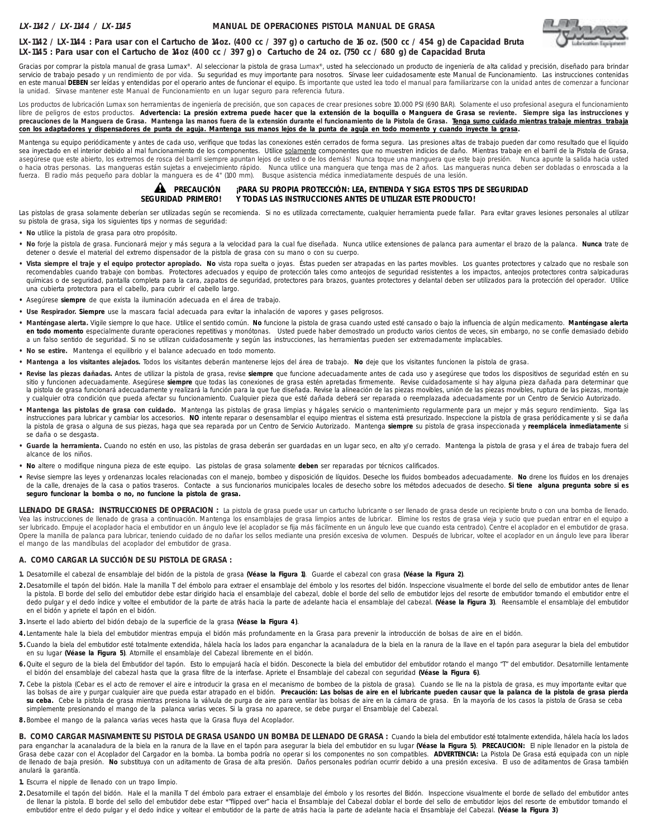### **MANUAL DE OPERACIONES PISTOLA MANUAL DE GRASA**



# **LX-1142 / LX-1144 : Para usar con el Cartucho de 14oz. (400 cc / 397 g) o cartucho de 16 oz. (500 cc / 454 g) de Capacidad Bruta LX-1145 : Para usar con el Cartucho de 14oz (400 cc / 397 g) o Cartucho de 24 oz. (750 cc / 680 g) de Capacidad Bruta**

Gracias por comprar la pistola manual de grasa Lumax®. Al seleccionar la pistola de grasa Lumax®, usted ha seleccionado un producto de ingeniería de alta calidad y precisión, diseñado para brindar servicio de trabajo pesado y un rendimiento de por vida. Su seguridad es muy importante para nosotros. Sírvase leer cuidadosamente este Manual de Funcionamiento. Las instrucciones contenidas en este manual DEBEN ser leídas y entendidas por el operario antes de funcionar el equipo. Es importante que usted lea todo el manual para familiarizarse con la unidad antes de comenzar a funcionar la unidad. Sírvase mantener este Manual de Funcionamiento en un lugar seguro para referencia futura.

Los productos de lubricación Lumax son herramientas de ingeniería de precisión, que son capaces de crear presiones sobre 10.000 PSI (690 BAR). Solamente el uso profesional asegura el funcionamiento libre de peligros de estos productos. **Advertencia: La presión extrema puede hacer que la extensión de la boquilla o Manguera de Grasa se reviente. Siempre siga las instrucciones y** precauciones de la Manguera de Grasa. Mantenga las manos fuera de la extensión durante el funcionamiento de la Pistola de Grasa. Tenga sumo cuidado mientras trabaje mientras trabaja **con los adaptadores y dispensadores de punta de aguja. Mantenga sus manos lejos de la punta de aguja en todo momento y cuando inyecte la grasa.**

Mantenga su equipo periódicamente y antes de cada uso, verifique que todas las conexiones estén cerrados de forma segura. Las presiones altas de trabajo pueden dar como resultado que el liquido sea inyectado en el interior debido al mal funcionamiento de los componentes. Utilice solamente componentes que no muestren indicios de daño. Mientras trabaje en el barril de la Pistola de Grasa, asegúrese que este abierto, los extremos de rosca del barril siempre apuntan lejos de usted o de los demás! Nunca toque una manguera que este bajo presión. Nunca apunte la salida hacia usted o hacia otras personas. Las mangueras están sujetas a envejecimiento rápido. Nunca utilice una manguera que tenga mas de 2 años. Las mangueras nunca deben ser dobladas o enroscada a la fuerza. El radio más pequeño para doblar la manguera es de 4" (100 mm). Busque asistencia médica inmediatamente después de una lesión.

#### **AL** PRECAUCIÓN ¡PARA SU PROPIA PROTECCIÓN: LEA, ENTIENDA Y SIGA ESTOS TIPS DE SEGURIDAD<br>SEGURIDAD PRIMERO! Y TODAS LAS INSTRUCCIONES ANTES DE UTILIZAR ESTE PRODUCTO! **Y TODAS LAS INSTRUCCIONES ANTES DE UTILIZAR ESTE PRODUCTO! AL** PRECAUCIÓN

Las pistolas de grasa solamente deberían ser utilizadas según se recomienda. Si no es utilizada correctamente, cualquier herramienta puede fallar. Para evitar graves lesiones personales al utilizar su pistola de grasa, siga los siguientes tips y normas de seguridad:

- **No** utilice la pistola de grasa para otro propósito.
- **No** forje la pistola de grasa. Funcionará mejor y más segura a la velocidad para la cual fue diseñada. Nunca utilice extensiones de palanca para aumentar el brazo de la palanca. **Nunca** trate de detener o desvíe el material del extremo dispensador de la pistola de grasa con su mano o con su cuerpo.
- **Vista siempre el traje y el equipo protector apropiado. No** vista ropa suelta o joyas. Éstas pueden ser atrapadas en las partes movibles. Los guantes protectores y calzado que no resbale son recomendables cuando trabaje con bombas. Protectores adecuados y equipo de protección tales como anteojos de seguridad resistentes a los impactos, anteojos protectores contra salpicaduras químicas o de seguridad, pantalla completa para la cara, zapatos de seguridad, protectores para brazos, guantes protectores y delantal deben ser utilizados para la protección del operador. Utilice una cubierta protectora para el cabello, para cubrir el cabello largo.
- **•** Asegúrese **siempre** de que exista la iluminación adecuada en el área de trabajo.
- **Use Respirador. Siempre** use la mascara facial adecuada para evitar la inhalación de vapores y gases peligrosos.
- **Manténgase alerta.** Vigile siempre lo que hace. Utilice el sentido común. **No** funcione la pistola de grasa cuando usted esté cansado o bajo la influencia de algún medicamento. **Manténgase alerta** en todo momento especialmente durante operaciones repetitivas y monótonas. Usted puede haber demostrado un producto varios cientos de veces, sin embargo, no se confíe demasiado debido a un falso sentido de seguridad. Si no se utilizan cuidadosamente y según las instrucciones, las herramientas pueden ser extremadamente implacables.
- **No se estire.** Mantenga el equilibrio y el balance adecuado en todo momento.
- **Mantenga a los visitantes alejados.** Todos los visitantes deberán mantenerse lejos del área de trabajo. **No** deje que los visitantes funcionen la pistola de grasa.
- **Revise las piezas dañadas.** Antes de utilizar la pistola de grasa, revise **siempre** que funcione adecuadamente antes de cada uso y asegúrese que todos los dispositivos de seguridad estén en su sitio y funcionen adecuadamente. Asegúrese siempre que todas las conexiones de grasa estén apretadas firmemente. Revise cuidadosamente si hay alguna pieza dañada para determinar que la pistola de grasa funcionará adecuadamente y realizará la función para la que fue diseñada. Revise la alineación de las piezas movibles, unión de las piezas movibles, ruptura de las piezas, montaje y cualquier otra condición que pueda afectar su funcionamiento. Cualquier pieza que esté dañada deberá ser reparada o reemplazada adecuadamente por un Centro de Servicio Autorizado.
- **Mantenga las pistolas de grasa con cuidado.** Mantenga las pistolas de grasa limpias y hágales servicio o mantenimiento regularmente para un mejor y más seguro rendimiento. Siga las instrucciones para lubricar y cambiar los accesorios. **NO** intente reparar o desensamblar el equipo mientras el sistema está presurizado. Inspeccione la pistola de grasa periódicamente y si se daña la pistola de grasa o alguna de sus piezas, haga que sea reparada por un Centro de Servicio Autorizado. Mantenga **siempre** su pistola de grasa inspeccionada y **reemplácela inmediatamente** si se daña o se desgasta.
- **Guarde la herramienta.** Cuando no estén en uso, las pistolas de grasa deberán ser guardadas en un lugar seco, en alto y/o cerrado. Mantenga la pistola de grasa y el área de trabajo fuera del alcance de los niños.
- **• No** altere o modifique ninguna pieza de este equipo. Las pistolas de grasa solamente **deben** ser reparadas por técnicos calificados.
- **•** Revise siempre las leyes y ordenanzas locales relacionadas con el manejo, bombeo y disposición de líquidos. Deseche los fluidos bombeados adecuadamente. **No** drene los fluidos en los drenajes de la calle, drenajes de la casa o patios traseros. Contacte a sus funcionarios municipales locales de desecho sobre los métodos adecuados de desecho. **Si tiene alguna pregunta sobre si es seguro funcionar la bomba o no, no funcione la pistola de grasa.**

LLENADO DE GRASA: INSTRUCCIONES DE OPERACION : La pistola de grasa puede usar un cartucho lubricante o ser llenado de grasa desde un recipiente bruto o con una bomba de llenado. Vea las instrucciones de llenado de grasa a continuación. Mantenga los ensamblajes de grasa limpios antes de lubricar. Elimine los restos de grasa vieja y sucio que puedan entrar en el equipo a ser lubricado. Empuje el acoplador hacia el embutidor en un ángulo leve (el acoplador se fija más fácilmente en un ángulo leve que cuando esta centrado). Centre el acoplador en el embutidor de grasa. Opere la manilla de palanca para lubricar, teniendo cuidado de no dañar los sellos mediante una presión excesiva de volumen. Después de lubricar, voltee el acoplador en un ángulo leve para liberar el mango de las mandíbulas del acoplador del embutidor de grasa.

#### **A. COMO CARGAR LA SUCCIÓN DE SU PISTOLA DE GRASA :**

- **1.** Desatornille el cabezal de ensamblaje del bidón de la pistola de grasa **(Véase la Figura 1)**. Guarde el cabezal con grasa **(Véase la Figura 2)**.
- **2 .** Desatornille el tapón del bidón. Hale la manilla T del émbolo para extraer el ensamblaje del émbolo y los resortes del bidón. Inspeccione visualmente el borde del sello de embutidor antes de llenar la pistola. El borde del sello del embutidor debe estar dirigido hacia el ensamblaje del cabezal, doble el borde del sello de embutidor lejos del resorte de embutidor tomando el embutidor entre el dedo pulgar y el dedo índice y voltee el embutidor de la parte de atrás hacia la parte de adelante hacia el ensamblaje del cabezal. **(Véase la Figura 3)**. Reensamble el ensamblaje del embutidor en el bidón y apriete el tapón en el bidón.
- **3.** Inserte el lado abierto del bidón debajo de la superficie de la grasa **(Véase la Figura 4)**.
- **4.**Lentamente hale la biela del embutidor mientras empuja el bidón más profundamente en la Grasa para prevenir la introducción de bolsas de aire en el bidón.
- **5 .** Cuando la biela del embutidor esté totalmente extendida, hálela hacía los lados para enganchar la acanaladura de la biela en la ranura de la llave en el tapón para asegurar la biela del embutidor en su lugar **(Véase la Figura 5)**. Atornille el ensamblaje del Cabezal libremente en el bidón.
- **6.** Quite el seguro de la biela del Embutidor del tapón. Esto lo empujará hacía el bidón. Desconecte la biela del embutidor del embutidor rotando el mango "T" del embutidor. Desatornille lentamente el bidón del ensamblaje del cabezal hasta que la grasa filtre de la interfase. Apriete el Ensamblaje del cabezal con seguridad **(Véase la Figura 6)**.
- 7. Cebe la pistola (Cebar es el acto de remover el aire e introducir la grasa en el mecanismo de bombeo de la pistola de grasa). Cuando se lle na la pistola de grasa, es muy importante evitar que las bolsas de aire y purgar cualquier aire que pueda estar atrapado en el bidón. Precaución: Las bolsas de aire en el lubricante pueden causar que la palanca de la pistola de grasa pierda su ceba. Cebe la pistola de grasa mientras presiona la válvula de purga de aire para ventilar las bolsas de aire en la cámara de grasa. En la mayoría de los casos la pistola de Grasa se ceba simplemente presionando el mango de la palanca varias veces. Si la grasa no aparece, se debe purgar el Ensamblaje del Cabezal.
- **8.** Bombee el mango de la palanca varias veces hasta que la Grasa fluya del Acoplador.

**B. COMO CARGAR MASIVAMENTE SU PISTOLA DE GRASA USANDO UN BOMBA DE LLENADO DE GRASA :** Cuando la biela del embutidor esté totalmente extendida, hálela hacía los lados para enganchar la acanaladura de la biela en la ranura de la llave en el tapón para asegurar la biela del embutidor en su lugar **(Véase la Figura 5)**. **PRECAUCION:** El niple llenador en la pistola de Grasa debe cazar con el Acoplador del Cargador en la bomba. La bomba podría no operar si los componentes no son compatibles. **ADVERTENCIA:** La Pistola De Grasa está equipada con un niple de llenado de baja presión. No substituya con un aditamento de Grasa de alta presión. Daños personales podrían ocurrir debido a una presión excesiva. El uso de aditamentos de Grasa también anulará la garantía.

- **1.** Escurra el nipple de llenado con un trapo limpio.
- **2 .** Desatornille el tapón del bidón. Hale el la manilla T del émbolo para extraer el ensamblaje del émbolo y los resortes del Bidón. Inspeccione visualmente el borde de sellado del embutidor antes de llenar la pistola. El borde del sello del embutidor debe estar \*"flipped over" hacia el Ensamblaje del Cabezal doblar el borde del sello de embutidor lejos del resorte de embutidor tomando el embutidor entre el dedo pulgar y el dedo índice y voltear el embutidor de la parte de atrás hacia la parte de adelante hacia el Ensamblaje del Cabezal. **(Véase la Figura 3)**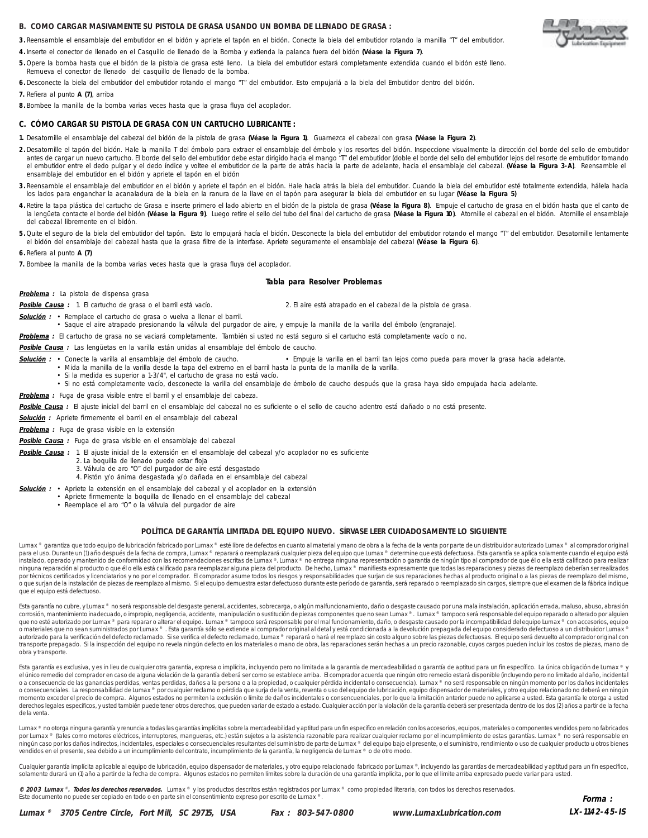#### **B. COMO CARGAR MASIVAMENTE SU PISTOLA DE GRASA USANDO UN BOMBA DE LLENADO DE GRASA :**

- **3.** Reensamble el ensamblaje del embutidor en el bidón y apriete el tapón en el bidón. Conecte la biela del embutidor rotando la manilla "T" del embutidor.
- **4.** Inserte el conector de llenado en el Casquillo de llenado de la Bomba y extienda la palanca fuera del bidón **(Véase la Figura 7)**.
- **5 .** Opere la bomba hasta que el bidón de la pistola de grasa esté lleno. La biela del embutidor estará completamente extendida cuando el bidón esté lleno. Remueva el conector de llenado del casquillo de llenado de la bomba.
- **6.** Desconecte la biela del embutidor del embutidor rotando el mango "T" del embutidor. Esto empujariá a la biela del Embutidor dentro del bidón.
- **7.** Refiera al punto **A (7)**, arriba
- **8.** Bombee la manilla de la bomba varias veces hasta que la grasa fluya del acoplador.

#### **C. CÓMO CARGAR SU PISTOLA DE GRASA CON UN CARTUCHO LUBRICANTE :**

- **1.** Desatornille el ensamblaje del cabezal del bidón de la pistola de grasa **(Véase la Figura 1)**. Guarnezca el cabezal con grasa **(Véase la Figura 2)**.
- **2 .** Desatornille el tapón del bidón. Hale la manilla T del émbolo para extraer el ensamblaje del émbolo y los resortes del bidón. Inspeccione visualmente la dirección del borde del sello de embutidor antes de cargar un nuevo cartucho. El borde del sello del embutidor debe estar dirigido hacia el mango "T" del embutidor (doble el borde del sello del embutidor lejos del resorte de embutidor tomando el embutidor entre el dedo pulgar y el dedo índice y voltee el embutidor de la parte de atrás hacia la parte de adelante, hacia el ensamblaje del cabezal. **(Véase la Figura 3-A)**. Reensamble el ensamblaje del embutidor en el bidón y apriete el tapón en el bidón
- **3.** Reensamble el ensamblaje del embutidor en el bidón y apriete el tapón en el bidón. Hale hacia atrás la biela del embutidor. Cuando la biela del embutidor esté totalmente extendida, hálela hacia los lados para enganchar la acanaladura de la biela en la ranura de la llave en el tapón para asegurar la biela del embutidor en su lugar **(Véase la Figura 5)**
- **4.** Retire la tapa plástica del cartucho de Grasa e inserte primero el lado abierto en el bidón de la pistola de grasa **(Véase la Figura 8)**. Empuje el cartucho de grasa en el bidón hasta que el canto de la lengüeta contacte el borde del bidón **(Véase la Figura 9)**. Luego retire el sello del tubo del final del cartucho de grasa **(Véase la Figura 10)**. Atornille el cabezal en el bidón. Atornille el ensamblaje del cabezal libremente en el bidón.
- **5 .** Quite el seguro de la biela del embutidor del tapón. Esto lo empujará hacía el bidón. Desconecte la biela del embutidor del embutidor rotando el mango "T" del embutidor. Desatornille lentamente el bidón del ensamblaje del cabezal hasta que la grasa filtre de la interfase. Apriete seguramente el ensamblaje del cabezal **(Véase la Figura 6)**.

**6.** Refiera al punto **A (7)**

**7.** Bombee la manilla de la bomba varias veces hasta que la grasa fluya del acoplador.

#### **Tabla para Resolver Problemas**

**Problema :** La pistola de dispensa grasa

**Posible Causa :** 1. El cartucho de grasa o el barril está vacío. 2. El aire está atrapado en el cabezal de la pistola de grasa.

**Solución :** • Remplace el cartucho de grasa o vuelva a llenar el barril.

• Saque el aire atrapado presionando la válvula del purgador de aire, y empuje la manilla de la varilla del émbolo (engranaje).

**Problema :** El cartucho de grasa no se vaciará completamente. También si usted no está seguro si el cartucho está completamente vacío o no.

**Posible Causa :** Las lengüetas en la varilla están unidas al ensamblaje del émbolo de caucho.

- **Solución :** Conecte la varilla al ensamblaje del émbolo de caucho. Empuje la varilla en el barril tan lejos como pueda para mover la grasa hacia adelante.
	- Mida la manilla de la varilla desde la tapa del extremo en el barril hasta la punta de la manilla de la varilla.
	- Si la medida es superior a 1-3/4", el cartucho de grasa no está vacío.
	- Si no está completamente vacío, desconecte la varilla del ensamblaje de émbolo de caucho después que la grasa haya sido empujada hacia adelante.
- **Problema :** Fuga de grasa visible entre el barril y el ensamblaje del cabeza.

**Posible Causa :** El ajuste inicial del barril en el ensamblaje del cabezal no es suficiente o el sello de caucho adentro está dañado o no está presente.

- **Solución :** Apriete firmemente el barril en el ensamblaje del cabezal
- **Problema :** Fuga de grasa visible en la extensión

#### **Posible Causa :** Fuga de grasa visible en el ensamblaje del cabezal

- **Posible Causa :** 1. El ajuste inicial de la extensión en el ensamblaje del cabezal y/o acoplador no es suficiente
	- 2. La boquilla de llenado puede estar floja
		- 3. Válvula de aro "O" del purgador de aire está desgastado
		- 4. Pistón y/o ánima desgastada y/o dañada en el ensamblaje del cabezal
- **Solución :** Apriete la extensión en el ensamblaje del cabezal y el acoplador en la extensión
	- Apriete firmemente la boquilla de llenado en el ensamblaje del cabezal
		- Reemplace el aro "O" o la válvula del purgador de aire

#### **POLÍTICA DE GARANTÍA LIMITADA DEL EQUIPO NUEVO. SÍRVASE LEER CUIDADOSAMENTE LO SIGUIENTE**

Lumax ® garantiza que todo equipo de lubricación fabricado por Lumax ® esté libre de defectos en cuanto al material y mano de obra a la fecha de la venta por parte de un distribuidor autorizado Lumax ® al comprador origina para el uso. Durante un (1) año después de la fecha de compra, Lumax ® reparará o reemplazará cualquier pieza del equipo que Lumax ® determine que está defectuosa. Esta garantía se aplica solamente cuando el equipo está instalado, operado y mantenido de conformidad con las recomendaciones escritas de Lumax ®. Lumax ® no entrega ninguna representación o garantía de inigún tipo al comprador de que él o ella está calificado para realizar<br>nin que el equipo está defectuoso.

Esta garantía no cubre, y Lumax ® no será responsable del desgaste general, accidentes, sobrecarga, o algún malfuncionamiento, daño o desgaste causado por una mala instalación, aplicación errada, maluso, abuso, abuso, abus corrosión, mantenimiento inadecuado, o impropio, negligencia, accidente, manipulación o sustitución de piezas componentes que no sean Lumax ® . Lumax ® tampoco será responsable del equipo reparado o alterado por alguien que no esté autorizado por Lumax® para reparar o alterar el equipo. Lumax® tampoco será responsable por el mal funcionamiento, daño, o desgaste causado por la incompatibilidad del equipo Lumax® con accesorios, equipo<br>o mat autorizado para la verificación del defecto reclamado. Si se verifica el defecto reclamado, Lumax ® reparará o hará el reemplazo sin costo alguno sobre las piezas defectuosas. El equipo será devuelto al comprador original transporte prepagado. Si la inspección del equipo no revela ningún defecto en los materiales o mano de obra, las reparaciones serán hechas a un precio razonable, cuyos cargos pueden incluir los costos de piezas, mano de obra y transporte.

Esta garantía es exclusiva, y es in lieu de cualquier otra garantía, expresa o implícita, incluyendo pero no limitada a la garantía de mercadeabilidad o garantía de aptitud para un fin específico. La única obligación de Lu el único remedio del comprador en caso de alguna violación de la garantía deberá ser como se establece arriba. El comprador acuerda que ningún otro remedio estará disponible (incluyendo pero no limitado al daño, incidental o consecuenciales. La responsabilidad de Lumax ® por cualquier reclamo o pérdida que surja de la venta, reventa o uso del equipo de lubricación, equipo dispensador de materiales, y otro equipo relacionado no deberá en ning momento exceder el precio de compra. Algunos estados no permiten la exclusión o límite de daños incidentales o consencuenciales, por lo que la limitación anterior puede no aplicarse a usted. Esta garantía le otorga a usted derechos legales específicos, y usted también puede tener otros derechos, que pueden variar de estado a estado. Cualquier acción por la violación de la garantía deberá ser presentada dentro de los dos (2) años a partir de de la venta.

Lumax® no otorga ninguna garantía y renuncia a todas las garantías implícitas sobre la mercadeabilidad y aptitud para un fin especifico en relación con los accesorios, equipos, materiales o componentes vendidos pero no fab por Lumax ® (tales como motores eléctricos, interruptores, mangueras, etc.) están sujetos a la asistencia razonable para realizar cualquier reclamo por el incumplimiento de estas garantías. Lumax ® no será responsable en ningún caso por los daños indirectos, incidentales, especiales o consecuenciales resultantes del suministro de parte de Lumax ® del equipo bajo el presente, o el suministro, rendimiento o uso de cualquier producto u otros vendidos en el presente, sea debido a un incumplimiento del contrato, incumplimiento de la garantía, la negligencia de Lumax ® o de otro modo.

Cualquier garantía implícita aplicable al equipo de lubricación, equipo dispensador de materiales, y otro equipo relacionado fabricado por Lumax®, incluyendo las garantías de mercadeabilidad y aptitud para un fin específic

© 2003 Lumax ®. Todos los derechos reservados. Lumax ® y los productos descritos están registrados por Lumax ® como propiedad literaria, con todos los derechos reservados.<br>Este documento no puede ser copiado en todo o en p

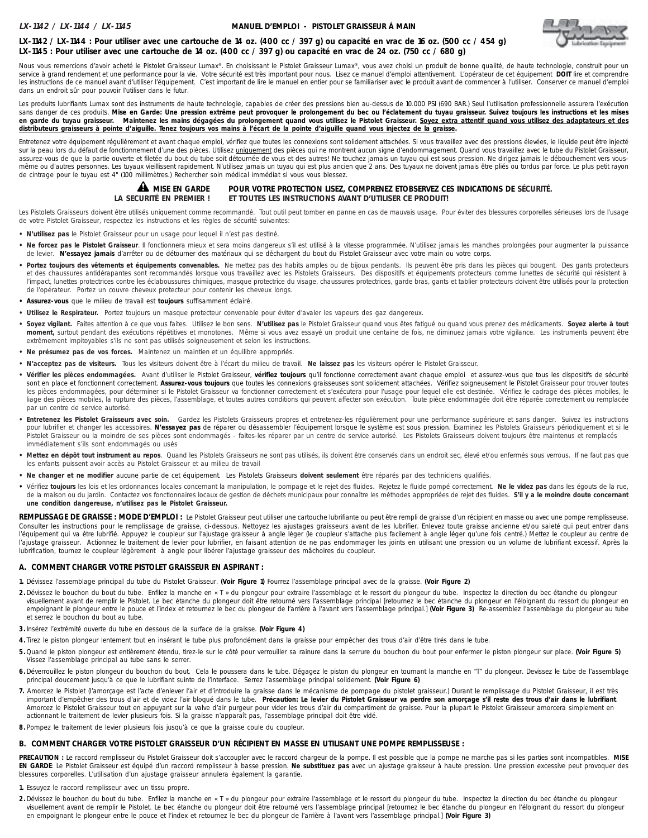#### **MANUEL D'EMPLOI - PISTOLET GRAISSEUR Á MAIN**



# **LX-1142 / LX-1144 : Pour utiliser avec une cartouche de 14 oz. (400 cc / 397 g) ou capacité en vrac de 16 oz. (500 cc / 454 g) LX-1145 : Pour utiliser avec une cartouche de 14 oz. (400 cc / 397 g) ou capacité en vrac de 24 oz. (750 cc / 680 g)**

Nous vous remercions d'avoir acheté le Pistolet Graisseur Lumax®. En choisissant le Pistolet Graisseur Lumax®, vous avez choisi un produit de bonne qualité, de haute technologie, construit pour un service à grand rendement et une performance pour la vie. Votre sécurité est très important pour nous. Lisez ce manuel d'emploi attentivement. L'opérateur de cet équipement DOIT lire et comprendre les instructions de ce manuel avant d'utiliser l'équipement. C'est important de lire le manuel en entier pour se familiariser avec le produit avant de commencer à l'utiliser. Conserver ce manuel d'emploi dans un endroit sûr pour pouvoir l'utiliser dans le futur.

Les produits lubrifiants Lumax sont des instruments de haute technologie, capables de créer des pressions bien au-dessus de 10.000 PSI (690 BAR.) Seul l'utilisation professionnelle assurera l'exécution sans danger de ces produits. Mise en Garde: Une pression extrême peut provoquer le prolongement du bec ou l'éclatement du tuyau graisseur. Suivez toujours les instructions et les mises en garde du tuyau graisseur. Maintenez les mains dégagées du prolongement quand vous utilisez le Pistolet Graisseur. Soyez extra attentif quand vous utilisez des adaptateurs et des **distributeurs graisseurs à pointe d'aiguille. Tenez toujours vos mains à l'écart de la pointe d'aiguille quand vous injectez de la graisse.**

Entretenez votre équipement régulièrement et avant chaque emploi, vérifiez que toutes les connexions sont solidement attachées. Si vous travaillez avec des pressions élevées, le liquide peut être injecté sur la peau lors du défaut de fonctionnement d'une des pièces. Utilisez uniquement des pièces qui ne montrent aucun signe d'endommagement. Quand vous travaillez avec le tube du Pistolet Graisseur, assurez-vous de que la partie ouverte et filetée du bout du tube soit détournée de vous et des autres! Ne touchez jamais un tuyau qui est sous pression. Ne dirigez jamais le débouchement vers vousmême ou d'autres personnes. Les tuyaux vieillissent rapidement. N'utilisez jamais un tuyau qui est plus ancien que 2 ans. Des tuyaux ne doivent jamais être pliés ou tordus par force. Le plus petit rayon de cintrage pour le tuyau est 4" (100 millimètres.) Rechercher soin médical immédiat si vous vous blessez.



# POUR VOTRE PROTECTION LISEZ, COMPRENEZ ETOBSERVEZ CES INDICATIONS DE SÉCURITÉ. **LA SECURITÉ EN PREMIER ! ET TOUTES LES INSTRUCTIONS AVANT D'UTILISER CE PRODUIT!**

Les Pistolets Graisseurs doivent être utilisés uniquement comme recommandé. Tout outil peut tomber en panne en cas de mauvais usage. Pour éviter des blessures corporelles sérieuses lors de l'usage de votre Pistolet Graisseur, respectez les instructions et les règles de sécurité suivantes:

- **N'utilisez pas** le Pistolet Graisseur pour un usage pour lequel il n'est pas destiné.
- **Ne forcez pas le Pistolet Graisseur**. Il fonctionnera mieux et sera moins dangereux s'il est utilisé à la vitesse programmée. N'utilisez jamais les manches prolongées pour augmenter la puissance de levier. **N'essayez jamais** d'arrêter ou de détourner des matériaux qui se déchargent du bout du Pistolet Graisseur avec votre main ou votre corps.
- **Portez toujours des vêtements et équipements convenables.** Ne mettez pas des habits amples ou de bijoux pendants. Ils peuvent être pris dans les pièces qui bougent. Des gants protecteurs et des chaussures antidérapantes sont recommandés lorsque vous travaillez avec les Pistolets Graisseurs. Des dispositifs et équipements protecteurs comme lunettes de sécurité qui résistent à l'impact, lunettes protectrices contre les éclaboussures chimiques, masque protectrice du visage, chaussures protectrices, garde bras, gants et tablier protecteurs doivent être utilisés pour la protection de l'opérateur. Portez un couvre cheveux protecteur pour contenir les cheveux longs.
- **Assurez-vous** que le milieu de travail est **toujours** suffisamment éclairé.
- **Utilisez le Respirateur.** Portez toujours un masque protecteur convenable pour éviter d'avaler les vapeurs des gaz dangereux.
- **Soyez vigilant.** Faites attention à ce que vous faites. Utilisez le bon sens. **N'utilisez pas** le Pistolet Graisseur quand vous êtes fatigué ou quand vous prenez des médicaments. **Soyez alerte à tout moment,** surtout pendant des exécutions répétitives et monotones. Même si vous avez essayé un produit une centaine de fois, ne diminuez jamais votre vigilance. Les instruments peuvent être extrêmement impitoyables s'ils ne sont pas utilisés soigneusement et selon les instructions.
- **Ne présumez pas de vos forces.** Maintenez un maintien et un équilibre appropriés.
- **N'acceptez pas de visiteurs.** Tous les visiteurs doivent être à l'écart du milieu de travail. **Ne laissez pas** les visiteurs opérer le Pistolet Graisseur.
- **Vérifier les pièces endommagées.** Avant d'utiliser le Pistolet Graisseur, **vérifiez toujours** qu'il fonctionne correctement avant chaque emploi et assurez-vous que tous les dispositifs de sécurité sont en place et fonctionnent correctement. Assurez-vous toujours que toutes les connexions graisseuses sont solidement attachées. Vérifiez soigneusement le Pistolet Graisseur pour trouver toutes les pièces endommagées, pour déterminer si le Pistolet Graisseur va fonctionner correctement et s'exécutera pour l'usage pour lequel elle est destinée. Vérifiez le cadrage des pièces mobiles, le liage des pièces mobiles, la rupture des pièces, l'assemblage, et toutes autres conditions qui peuvent affecter son exécution. Toute pièce endommagée doit être réparée correctement ou remplacée par un centre de service autorisé.
- **Entretenez les Pistolet Graisseurs avec soin.** Gardez les Pistolets Graisseurs propres et entretenez-les régulièrement pour une performance supérieure et sans danger. Suivez les instructions pour lubrifier et changer les accessoires. N'essayez pas de réparer ou désassembler l'équipement lorsque le système est sous pression. Examinez les Pistolets Graisseurs périodiquement et si le Pistolet Graisseur ou la moindre de ses pièces sont endommagés - faites-les réparer par un centre de service autorisé. Les Pistolets Graisseurs doivent toujours être maintenus et remplacés immédiatement s'ils sont endommagés ou usés
- **Mettez en dépôt tout instrument au repos**. Quand les Pistolets Graisseurs ne sont pas utilisés, ils doivent être conservés dans un endroit sec, élevé et/ou enfermés sous verrous. If ne faut pas que les enfants puissent avoir accès au Pistolet Graisseur et au milieu de travail
- **Ne changer et ne modifier** aucune partie de cet équipement. Les Pistolets Graisseurs **doivent seulement** être réparés par des techniciens qualifiés.
- **•** Vérifiez **toujours** les lois et les ordonnances locales concernant la manipulation, le pompage et le rejet des fluides. Rejetez le fluide pompé correctement. **Ne le videz pas** dans les égouts de la rue, de la maison ou du jardin. Contactez vos fonctionnaires locaux de gestion de déchets municipaux pour connaître les méthodes appropriées de rejet des fluides. **S'il y a le moindre doute concernant une condition dangereuse, n'utilisez pas le Pistolet Graisseur.**

REMPLISSAGE DE GRAISSE : MODE D'EMPLOI : Le Pistolet Graisseur peut utiliser une cartouche lubrifiante ou peut être rempli de graisse d'un récipient en masse ou avec une pompe remplisseuse. Consulter les instructions pour le remplissage de graisse, ci-dessous. Nettoyez les ajustages graisseurs avant de les lubrifier. Enlevez toute graisse ancienne et/ou saleté qui peut entrer dans l'équipement qui va être lubrifié. Appuyez le coupleur sur l'ajustage graisseur à angle léger (le coupleur s'attache plus facilement à angle léger qu'une fois centré.) Mettez le coupleur au centre de l'ajustage graisseur. Actionnez le traitement de levier pour lubrifier, en faisant attention de ne pas endommager les joints en utilisant une pression ou un volume de lubrifiant excessif. Après la lubrification, tournez le coupleur légèrement à angle pour libérer l'ajustage graisseur des mâchoires du coupleur.

#### **A. COMMENT CHARGER VOTRE PISTOLET GRAISSEUR EN ASPIRANT :**

- **1.** Dévissez l'assemblage principal du tube du Pistolet Graisseur. **(Voir Figure 1)** Fourrez l'assemblage principal avec de la graisse. **(Voir Figure 2)**
- 2. Dévissez le bouchon du bout du tube. Enfilez la manche en « T » du plongeur pour extraire l'assemblage et le ressort du plongeur du tube. Inspectez la direction du bec étanche du plongeur visuellement avant de remplir le Pistolet. Le bec étanche du plongeur doit être retourné vers l'assemblage principal [retournez le bec étanche du plongeur en l'éloignant du ressort du plongeur en empoignant le plongeur entre le pouce et l'index et retournez le bec du plongeur de l'arrière à l'avant vers l'assemblage principal.] **(Voir Figure 3)** Re-assemblez l'assemblage du plongeur au tube et serrez le bouchon du bout au tube.
- **3.** Insérez l'extrémité ouverte du tube en dessous de la surface de la graisse. **(Voir Figure 4)**
- **4.** Tirez le piston plongeur lentement tout en insérant le tube plus profondément dans la graisse pour empêcher des trous d'air d'être tirés dans le tube.
- **5 .** Quand le piston plongeur est entièrement étendu, tirez-le sur le côté pour verrouiller sa rainure dans la serrure du bouchon du bout pour enfermer le piston plongeur sur place. **(Voir Figure 5)** Vissez l'assemblage principal au tube sans le serrer.
- **6.** Déverrouillez le piston plongeur du bouchon du bout. Cela le poussera dans le tube. Dégagez le piston du plongeur en tournant la manche en "T" du plongeur. Devissez le tube de l'assemblage principal doucement jusqu'à ce que le lubrifiant suinte de l'interface. Serrez l'assemblage principal solidement. **(Voir Figure 6)**
- 7. Amorcez le Pistolet (l'amorçage est l'acte d'enlever l'air et d'introduire la graisse dans le mécanisme de pompage du pistolet graisseur.) Durant le remplissage du Pistolet Graisseur, il est très important d'empêcher des trous d'air et de videz l'air bloqué dans le tube. **Précaution: Le levier du Pistolet Graisseur va perdre son amorçage s'il reste des trous d'air dans le lubrifiant**. Amorcez le Pistolet Graisseur tout en appuyant sur la valve d'air purgeur pour vider les trous d'air du compartiment de graisse. Pour la plupart le Pistolet Graisseur amorcera simplement en actionnant le traitement de levier plusieurs fois. Si la graisse n'apparaît pas, l'assemblage principal doit être vidé.
- **8.** Pompez le traitement de levier plusieurs fois jusqu'à ce que la graisse coule du coupleur.

# **B. COMMENT CHARGER VOTRE PISTOLET GRAISSEUR D'UN RÉCIPIENT EN MASSE EN UTILISANT UNE POMPE REMPLISSEUSE :**

**PRECAUTION :** Le raccord remplisseur du Pistolet Graisseur doit s'accoupler avec le raccord chargeur de la pompe. Il est possible que la pompe ne marche pas si les parties sont incompatibles. **MISE EN GARDE**: Le Pistolet Graisseur est équipé d'un raccord remplisseur à basse pression. **Ne substituez pas** avec un ajustage graisseur à haute pression. Une pression excessive peut provoquer des blessures corporelles. L'utilisation d'un ajustage graisseur annulera également la garantie.

**1.** Essuyez le raccord remplisseur avec un tissu propre.

2. Dévissez le bouchon du bout du tube. Enfilez la manche en « T » du plongeur pour extraire l'assemblage et le ressort du plongeur du tube. Inspectez la direction du bec étanche du plongeur visuellement avant de remplir le Pistolet. Le bec étanche du plongeur doit être retourné vers l'assemblage principal [retournez le bec étanche du plongeur en l'éloignant du ressort du plongeur en empoignant le plongeur entre le pouce et l'index et retournez le bec du plongeur de l'arrière à l'avant vers l'assemblage principal.] **(Voir Figure 3)**